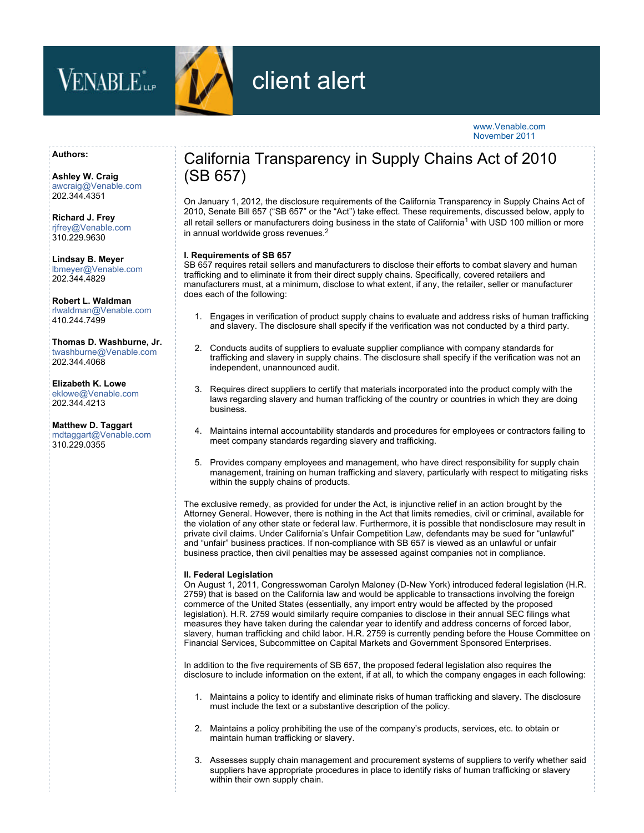



# client alert

## [www.Venable.com](http://www.Venable.com) November 2011

#### **Authors:**

**[Ashley W. Craig](http://www.Venable.com/ashley-w-craig/)** [awcraig@Venable.com](mailto:awcraig@Venable.com) 202.344.4351

**[Richard J. Frey](http://www.Venable.com/richard-j-frey/)** [rjfrey@Venable.com](mailto:rjfrey@Venable.com) 310.229.9630

**[Lindsay B. Meyer](http://www.Venable.com/lindsay-b-meyer/)** [lbmeyer@Venable.com](mailto:lbmeyer@Venable.com) 202.344.4829

**[Robert L. Waldman](http://www.Venable.com/robert-l-waldman/)** [rlwaldman@Venable.com](mailto:rlwaldman@Venable.com) 410.244.7499

**[Thomas D. Washburne, Jr.](http://www.Venable.com/thomas-d-washburne/)** [twashburne@Venable.com](mailto:twashburne@Venable.com) 202.344.4068

**[Elizabeth K. Lowe](http://www.Venable.com/elizabeth-k-lowe/)** [eklowe@Venable.com](mailto:eklowe@Venable.com) 202.344.4213

**[Matthew D. Taggart](http://www.Venable.com/matthew-d-taggart/)** [mdtaggart@Venable.com](mailto:mdtaggart@Venable.com) 310.229.0355

# California Transparency in Supply Chains Act of 2010 (SB 657)

On January 1, 2012, the disclosure requirements of the California Transparency in Supply Chains Act of 2010, Senate Bill 657 ("SB 657" or the "Act") take effect. These requirements, discussed below, apply to all retail sellers or manufacturers doing business in the state of California<sup>1</sup> with USD 100 million or more in annual worldwide gross revenues.<sup>2</sup>

# **I. Requirements of SB 657**

SB 657 requires retail sellers and manufacturers to disclose their efforts to combat slavery and human trafficking and to eliminate it from their direct supply chains. Specifically, covered retailers and manufacturers must, at a minimum, disclose to what extent, if any, the retailer, seller or manufacturer does each of the following:

- 1. Engages in verification of product supply chains to evaluate and address risks of human trafficking and slavery. The disclosure shall specify if the verification was not conducted by a third party.
- 2. Conducts audits of suppliers to evaluate supplier compliance with company standards for trafficking and slavery in supply chains. The disclosure shall specify if the verification was not an independent, unannounced audit.
- 3. Requires direct suppliers to certify that materials incorporated into the product comply with the laws regarding slavery and human trafficking of the country or countries in which they are doing business.
- 4. Maintains internal accountability standards and procedures for employees or contractors failing to meet company standards regarding slavery and trafficking.
- 5. Provides company employees and management, who have direct responsibility for supply chain management, training on human trafficking and slavery, particularly with respect to mitigating risks within the supply chains of products.

The exclusive remedy, as provided for under the Act, is injunctive relief in an action brought by the Attorney General. However, there is nothing in the Act that limits remedies, civil or criminal, available for the violation of any other state or federal law. Furthermore, it is possible that nondisclosure may result in private civil claims. Under California's Unfair Competition Law, defendants may be sued for "unlawful" and "unfair" business practices. If non-compliance with SB 657 is viewed as an unlawful or unfair business practice, then civil penalties may be assessed against companies not in compliance.

## **II. Federal Legislation**

On August 1, 2011, Congresswoman Carolyn Maloney (D-New York) introduced federal legislation (H.R. 2759) that is based on the California law and would be applicable to transactions involving the foreign commerce of the United States (essentially, any import entry would be affected by the proposed legislation). H.R. 2759 would similarly require companies to disclose in their annual SEC filings what measures they have taken during the calendar year to identify and address concerns of forced labor, slavery, human trafficking and child labor. H.R. 2759 is currently pending before the House Committee on Financial Services, Subcommittee on Capital Markets and Government Sponsored Enterprises.

In addition to the five requirements of SB 657, the proposed federal legislation also requires the disclosure to include information on the extent, if at all, to which the company engages in each following:

- 1. Maintains a policy to identify and eliminate risks of human trafficking and slavery. The disclosure must include the text or a substantive description of the policy.
- 2. Maintains a policy prohibiting the use of the company's products, services, etc. to obtain or maintain human trafficking or slavery.
- 3. Assesses supply chain management and procurement systems of suppliers to verify whether said suppliers have appropriate procedures in place to identify risks of human trafficking or slavery within their own supply chain.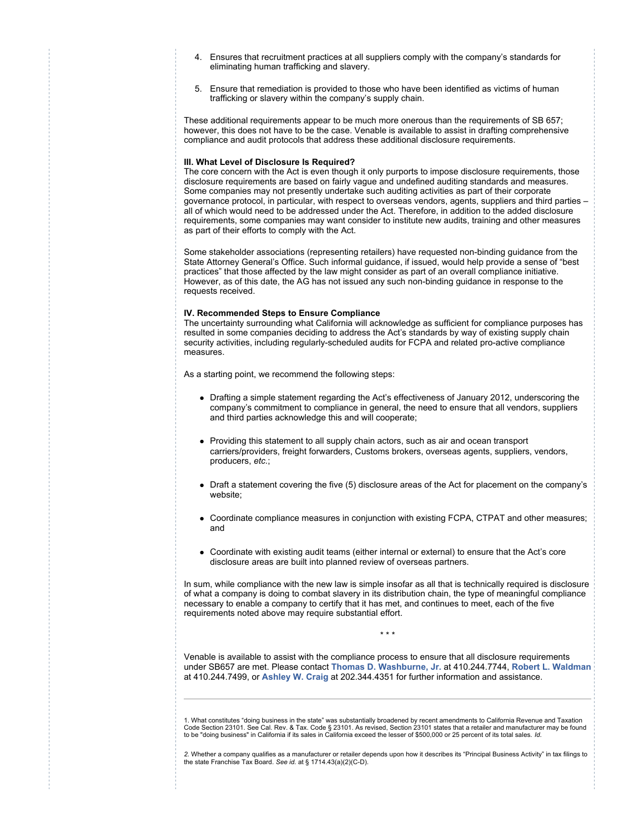- 4. Ensures that recruitment practices at all suppliers comply with the company's standards for eliminating human trafficking and slavery.
- 5. Ensure that remediation is provided to those who have been identified as victims of human trafficking or slavery within the company's supply chain.

These additional requirements appear to be much more onerous than the requirements of SB 657; however, this does not have to be the case. Venable is available to assist in drafting comprehensive compliance and audit protocols that address these additional disclosure requirements.

#### **III. What Level of Disclosure Is Required?**

The core concern with the Act is even though it only purports to impose disclosure requirements, those disclosure requirements are based on fairly vague and undefined auditing standards and measures. Some companies may not presently undertake such auditing activities as part of their corporate governance protocol, in particular, with respect to overseas vendors, agents, suppliers and third parties – all of which would need to be addressed under the Act. Therefore, in addition to the added disclosure requirements, some companies may want consider to institute new audits, training and other measures as part of their efforts to comply with the Act.

Some stakeholder associations (representing retailers) have requested non-binding guidance from the State Attorney General's Office. Such informal guidance, if issued, would help provide a sense of "best practices" that those affected by the law might consider as part of an overall compliance initiative. However, as of this date, the AG has not issued any such non-binding guidance in response to the requests received.

#### **IV. Recommended Steps to Ensure Compliance**

The uncertainty surrounding what California will acknowledge as sufficient for compliance purposes has resulted in some companies deciding to address the Act's standards by way of existing supply chain security activities, including regularly-scheduled audits for FCPA and related pro-active compliance measures.

As a starting point, we recommend the following steps:

- Drafting a simple statement regarding the Act's effectiveness of January 2012, underscoring the company's commitment to compliance in general, the need to ensure that all vendors, suppliers and third parties acknowledge this and will cooperate;
- Providing this statement to all supply chain actors, such as air and ocean transport carriers/providers, freight forwarders, Customs brokers, overseas agents, suppliers, vendors, producers, *etc.*;
- Draft a statement covering the five (5) disclosure areas of the Act for placement on the company's website;
- Coordinate compliance measures in conjunction with existing FCPA, CTPAT and other measures; and
- Coordinate with existing audit teams (either internal or external) to ensure that the Act's core disclosure areas are built into planned review of overseas partners.

In sum, while compliance with the new law is simple insofar as all that is technically required is disclosure of what a company is doing to combat slavery in its distribution chain, the type of meaningful compliance necessary to enable a company to certify that it has met, and continues to meet, each of the five requirements noted above may require substantial effort.

\* \* \*

Venable is available to assist with the compliance process to ensure that all disclosure requirements under SB657 are met. Please contact **[Thomas D. Washburne, Jr.](mailto:tdwashburne@venable.com)** at 410.244.7744, **[Robert L. Waldman](mailto:rlwaldman@venable.com)** at 410.244.7499, or **[Ashley W. Craig](mailto:awcraig@venable.com)** at 202.344.4351 for further information and assistance.

1. What constitutes "doing business in the state" was substantially broadened by recent amendments to California Revenue and Taxation<br>Code Section 23101. See Cal. Rev. & Tax. Code § 23101. As revised, Section 23101 states to be "doing business" in California if its sales in California exceed the lesser of \$500,000 or 25 percent of its total sales. *Id.*

*2.* Whether a company qualifies as a manufacturer or retailer depends upon how it describes its "Principal Business Activity" in tax filings to the state Franchise Tax Board. *See id.* at § 1714.43(a)(2)(C-D).